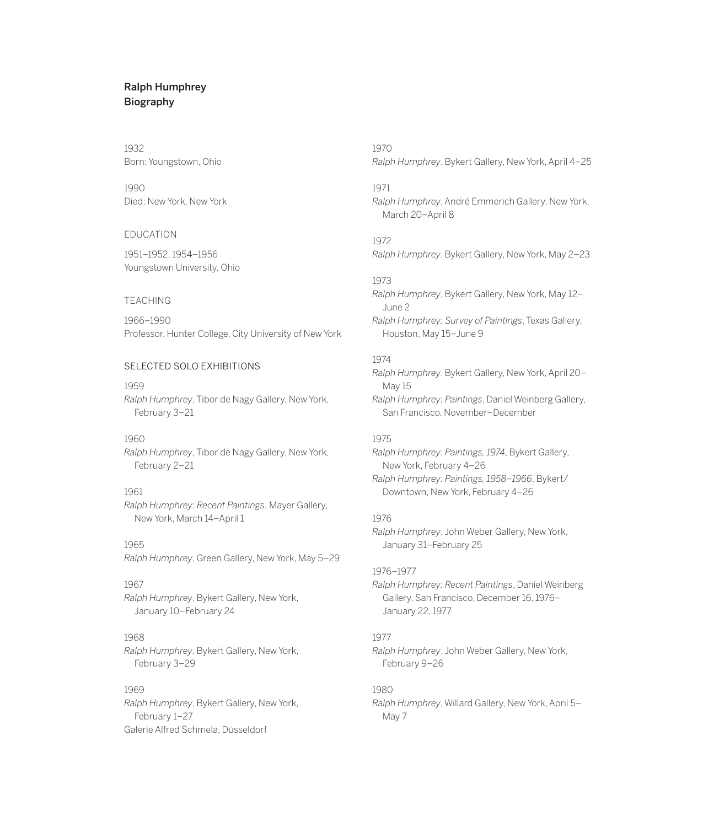# Ralph Humphrey Biography

# 1932 Born: Youngstown, Ohio

1990 Died: New York, New York

### EDUCATION

1951–1952, 1954–1956 Youngstown University, Ohio

#### TEACHING

1966–1990 Professor, Hunter College, City University of New York

# SELECTED SOLO EXHIBITIONS

1959 *Ralph Humphrey*, Tibor de Nagy Gallery, New York, February 3–21

### 1960

*Ralph Humphrey*, Tibor de Nagy Gallery, New York, February 2–21

# 1961

*Ralph Humphrey: Recent Paintings*, Mayer Gallery, New York, March 14–April 1

### 1965

*Ralph Humphrey*, Green Gallery, New York, May 5–29

# 1967

*Ralph Humphrey*, Bykert Gallery, New York, January 10–February 24

#### 1968

*Ralph Humphrey*, Bykert Gallery, New York, February 3–29

# 1969

*Ralph Humphrey*, Bykert Gallery, New York, February 1–27 Galerie Alfred Schmela, Düsseldorf

1970 *Ralph Humphrey*, Bykert Gallery, New York, April 4–25

# 1971

*Ralph Humphrey*, André Emmerich Gallery, New York, March 20–April 8

# 1972

*Ralph Humphrey*, Bykert Gallery, New York, May 2–23

### 1973

*Ralph Humphrey*, Bykert Gallery, New York, May 12– June 2 *Ralph Humphrey: Survey of Paintings*, Texas Gallery, Houston, May 15–June 9

# 1974

*Ralph Humphrey*, Bykert Gallery, New York, April 20– May 15 *Ralph Humphrey: Paintings*, Daniel Weinberg Gallery, San Francisco, November–December

### 1975

*Ralph Humphrey: Paintings, 1974*, Bykert Gallery, New York, February 4–26 *Ralph Humphrey: Paintings, 1958–1966*, Bykert/

Downtown, New York, February 4–26

### 1976

*Ralph Humphrey*, John Weber Gallery, New York, January 31–February 25

### 1976–1977

*Ralph Humphrey: Recent Paintings*, Daniel Weinberg Gallery, San Francisco, December 16, 1976– January 22, 1977

# 1977

*Ralph Humphrey*, John Weber Gallery, New York, February 9–26

# 1980

*Ralph Humphrey*, Willard Gallery, New York, April 5– May 7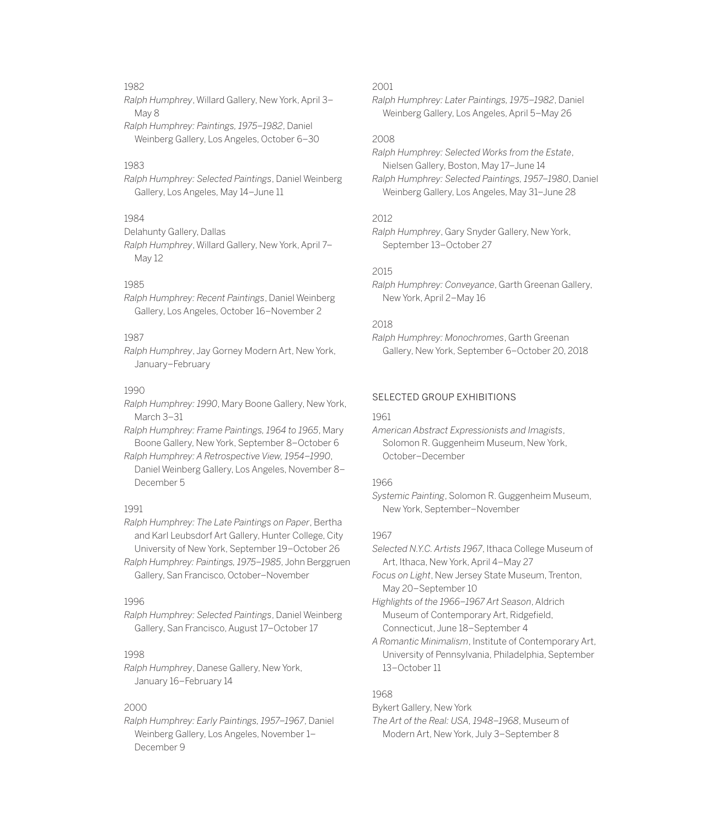### 1982

*Ralph Humphrey*, Willard Gallery, New York, April 3– May 8 *Ralph Humphrey: Paintings, 1975–1982*, Daniel Weinberg Gallery, Los Angeles, October 6–30

#### 1983

*Ralph Humphrey: Selected Paintings*, Daniel Weinberg Gallery, Los Angeles, May 14–June 11

# 1984

Delahunty Gallery, Dallas

*Ralph Humphrey*, Willard Gallery, New York, April 7– May 12

### 1985

*Ralph Humphrey: Recent Paintings*, Daniel Weinberg Gallery, Los Angeles, October 16–November 2

### 1987

*Ralph Humphrey*, Jay Gorney Modern Art, New York, January–February

#### 1990

*Ralph Humphrey: 1990*, Mary Boone Gallery, New York, March 3–31

*Ralph Humphrey: Frame Paintings, 1964 to 1965*, Mary Boone Gallery, New York, September 8–October 6

*Ralph Humphrey: A Retrospective View, 1954–1990*, Daniel Weinberg Gallery, Los Angeles, November 8– December 5

#### 1991

*Ralph Humphrey: The Late Paintings on Paper*, Bertha and Karl Leubsdorf Art Gallery, Hunter College, City University of New York, September 19–October 26

*Ralph Humphrey: Paintings, 1975–1985*, John Berggruen Gallery, San Francisco, October–November

### 1996

*Ralph Humphrey: Selected Paintings*, Daniel Weinberg Gallery, San Francisco, August 17–October 17

#### 1998

*Ralph Humphrey*, Danese Gallery, New York, January 16–February 14

#### 2000

*Ralph Humphrey: Early Paintings, 1957–1967*, Daniel Weinberg Gallery, Los Angeles, November 1– December 9

## 2001

*Ralph Humphrey: Later Paintings, 1975–1982*, Daniel Weinberg Gallery, Los Angeles, April 5–May 26

# 2008

*Ralph Humphrey: Selected Works from the Estate*, Nielsen Gallery, Boston, May 17–June 14

*Ralph Humphrey: Selected Paintings, 1957–1980*, Daniel Weinberg Gallery, Los Angeles, May 31–June 28

## 2012

*Ralph Humphrey*, Gary Snyder Gallery, New York, September 13–October 27

# 2015

*Ralph Humphrey: Conveyance*, Garth Greenan Gallery, New York, April 2–May 16

# 2018

*Ralph Humphrey: Monochromes*, Garth Greenan Gallery, New York, September 6–October 20, 2018

#### SELECTED GROUP EXHIBITIONS

#### 1961

*American Abstract Expressionists and Imagists*, Solomon R. Guggenheim Museum, New York, October–December

### 1966

*Systemic Painting*, Solomon R. Guggenheim Museum, New York, September–November

## 1967

*Selected N.Y.C. Artists 1967*, Ithaca College Museum of Art, Ithaca, New York, April 4–May 27

*Focus on Light*, New Jersey State Museum, Trenton, May 20–September 10

*Highlights of the 1966–1967 Art Season*, Aldrich Museum of Contemporary Art, Ridgefield, Connecticut, June 18–September 4

*A Romantic Minimalism*, Institute of Contemporary Art, University of Pennsylvania, Philadelphia, September 13–October 11

# 1968

Bykert Gallery, New York

*The Art of the Real: USA, 1948–1968*, Museum of Modern Art, New York, July 3–September 8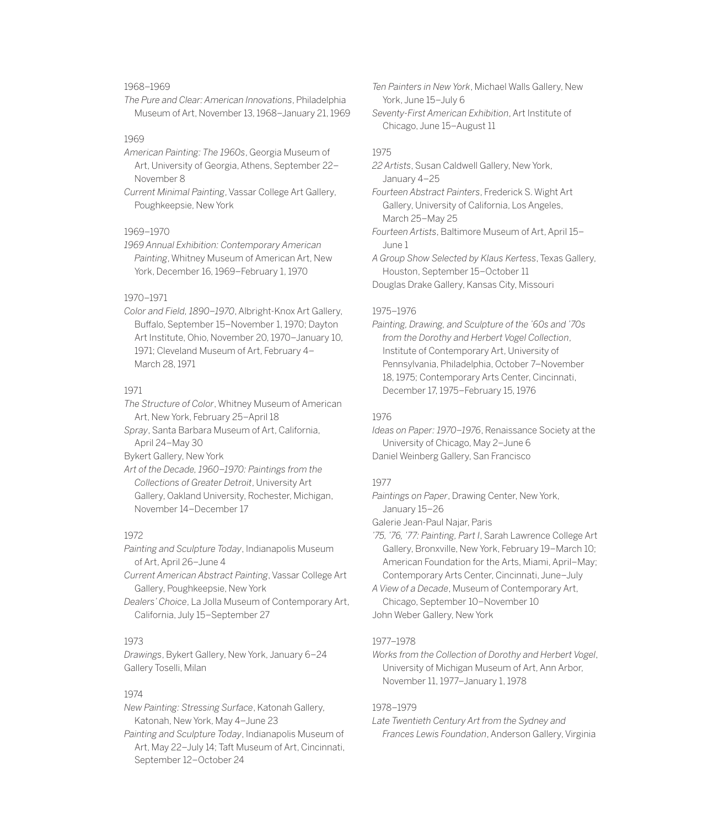# 1968–1969

*The Pure and Clear: American Innovations*, Philadelphia Museum of Art, November 13, 1968–January 21, 1969

# 1969

*American Painting: The 1960s*, Georgia Museum of Art, University of Georgia, Athens, September 22– November 8

*Current Minimal Painting*, Vassar College Art Gallery, Poughkeepsie, New York

#### 1969–1970

*1969 Annual Exhibition: Contemporary American Painting*, Whitney Museum of American Art, New York, December 16, 1969–February 1, 1970

### 1970–1971

*Color and Field, 1890–1970*, Albright-Knox Art Gallery, Buffalo, September 15–November 1, 1970; Dayton Art Institute, Ohio, November 20, 1970–January 10, 1971; Cleveland Museum of Art, February 4– March 28, 1971

### 1971

*The Structure of Color*, Whitney Museum of American Art, New York, February 25–April 18

*Spray*, Santa Barbara Museum of Art, California, April 24–May 30

Bykert Gallery, New York

*Art of the Decade, 1960–1970: Paintings from the Collections of Greater Detroit*, University Art Gallery, Oakland University, Rochester, Michigan, November 14–December 17

### 1972

*Painting and Sculpture Today*, Indianapolis Museum of Art, April 26–June 4

*Current American Abstract Painting*, Vassar College Art Gallery, Poughkeepsie, New York

*Dealers' Choice*, La Jolla Museum of Contemporary Art, California, July 15–September 27

# 1973

*Drawings*, Bykert Gallery, New York, January 6–24 Gallery Toselli, Milan

### 1974

*New Painting: Stressing Surface*, Katonah Gallery, Katonah, New York, May 4–June 23

*Painting and Sculpture Today*, Indianapolis Museum of Art, May 22–July 14; Taft Museum of Art, Cincinnati, September 12–October 24

*Ten Painters in New York*, Michael Walls Gallery, New York, June 15–July 6 *Seventy-First American Exhibition*, Art Institute of Chicago, June 15–August 11

#### 1975

*22 Artists*, Susan Caldwell Gallery, New York, January 4–25

*Fourteen Abstract Painters*, Frederick S. Wight Art Gallery, University of California, Los Angeles, March 25–May 25

*Fourteen Artists*, Baltimore Museum of Art, April 15– June 1

*A Group Show Selected by Klaus Kertess*, Texas Gallery, Houston, September 15–October 11 Douglas Drake Gallery, Kansas City, Missouri

#### 1975–1976

*Painting, Drawing, and Sculpture of the '60s and '70s from the Dorothy and Herbert Vogel Collection*, Institute of Contemporary Art, University of Pennsylvania, Philadelphia, October 7–November 18, 1975; Contemporary Arts Center, Cincinnati, December 17, 1975–February 15, 1976

### 1976

*Ideas on Paper: 1970–1976*, Renaissance Society at the University of Chicago, May 2–June 6 Daniel Weinberg Gallery, San Francisco

#### 1977

*Paintings on Paper*, Drawing Center, New York, January 15–26

Galerie Jean-Paul Najar, Paris

*'75, '76, '77: Painting, Part I*, Sarah Lawrence College Art Gallery, Bronxville, New York, February 19–March 10; American Foundation for the Arts, Miami, April–May; Contemporary Arts Center, Cincinnati, June–July

*A View of a Decade*, Museum of Contemporary Art, Chicago, September 10–November 10 John Weber Gallery, New York

# 1977–1978

*Works from the Collection of Dorothy and Herbert Vogel*, University of Michigan Museum of Art, Ann Arbor, November 11, 1977–January 1, 1978

#### 1978–1979

*Late Twentieth Century Art from the Sydney and Frances Lewis Foundation*, Anderson Gallery, Virginia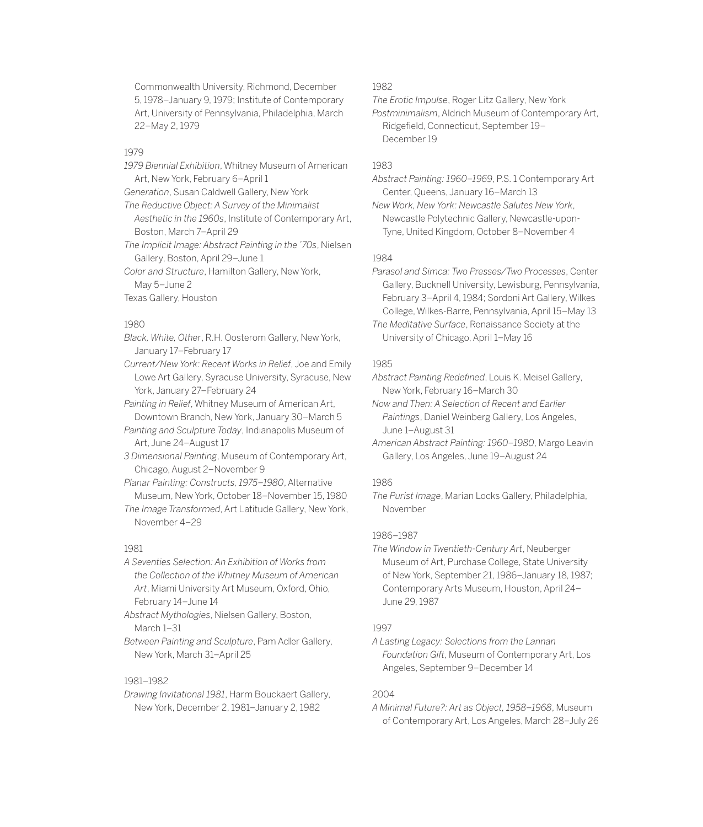Commonwealth University, Richmond, December 5, 1978–January 9, 1979; Institute of Contemporary Art, University of Pennsylvania, Philadelphia, March 22–May 2, 1979

#### 1979

- *1979 Biennial Exhibition*, Whitney Museum of American Art, New York, February 6–April 1
- *Generation*, Susan Caldwell Gallery, New York
- *The Reductive Object: A Survey of the Minimalist Aesthetic in the 1960s*, Institute of Contemporary Art, Boston, March 7–April 29

*The Implicit Image: Abstract Painting in the '70s*, Nielsen Gallery, Boston, April 29–June 1

*Color and Structure*, Hamilton Gallery, New York, May 5–June 2

Texas Gallery, Houston

### 1980

- *Black, White, Other*, R.H. Oosterom Gallery, New York, January 17–February 17
- *Current/New York: Recent Works in Relief*, Joe and Emily Lowe Art Gallery, Syracuse University, Syracuse, New York, January 27–February 24
- *Painting in Relief*, Whitney Museum of American Art, Downtown Branch, New York, January 30–March 5
- *Painting and Sculpture Today*, Indianapolis Museum of Art, June 24–August 17
- *3 Dimensional Painting*, Museum of Contemporary Art, Chicago, August 2–November 9
- *Planar Painting: Constructs, 1975–1980*, Alternative Museum, New York, October 18–November 15, 1980
- *The Image Transformed*, Art Latitude Gallery, New York, November 4–29

#### 1981

- *A Seventies Selection: An Exhibition of Works from the Collection of the Whitney Museum of American Art*, Miami University Art Museum, Oxford, Ohio, February 14–June 14
- *Abstract Mythologies*, Nielsen Gallery, Boston, March 1–31
- *Between Painting and Sculpture*, Pam Adler Gallery, New York, March 31–April 25

### 1981–1982

*Drawing Invitational 1981*, Harm Bouckaert Gallery, New York, December 2, 1981–January 2, 1982

# 1982

*The Erotic Impulse*, Roger Litz Gallery, New York *Postminimalism*, Aldrich Museum of Contemporary Art, Ridgefield, Connecticut, September 19– December 19

### 1983

- *Abstract Painting: 1960–1969*, P.S. 1 Contemporary Art Center, Queens, January 16–March 13
- *New Work, New York: Newcastle Salutes New York*, Newcastle Polytechnic Gallery, Newcastle-upon-Tyne, United Kingdom, October 8–November 4

#### 1984

- *Parasol and Simca: Two Presses/Two Processes*, Center Gallery, Bucknell University, Lewisburg, Pennsylvania, February 3–April 4, 1984; Sordoni Art Gallery, Wilkes College, Wilkes-Barre, Pennsylvania, April 15–May 13
- *The Meditative Surface*, Renaissance Society at the University of Chicago, April 1–May 16

#### 1985

*Abstract Painting Redefined*, Louis K. Meisel Gallery, New York, February 16–March 30

*Now and Then: A Selection of Recent and Earlier Paintings*, Daniel Weinberg Gallery, Los Angeles, June 1–August 31

*American Abstract Painting: 1960–1980*, Margo Leavin Gallery, Los Angeles, June 19–August 24

#### 1986

*The Purist Image*, Marian Locks Gallery, Philadelphia, November

#### 1986–1987

*The Window in Twentieth-Century Art*, Neuberger Museum of Art, Purchase College, State University of New York, September 21, 1986–January 18, 1987; Contemporary Arts Museum, Houston, April 24– June 29, 1987

#### 1997

*A Lasting Legacy: Selections from the Lannan Foundation Gift*, Museum of Contemporary Art, Los Angeles, September 9–December 14

#### 2004

*A Minimal Future?: Art as Object, 1958–1968*, Museum of Contemporary Art, Los Angeles, March 28–July 26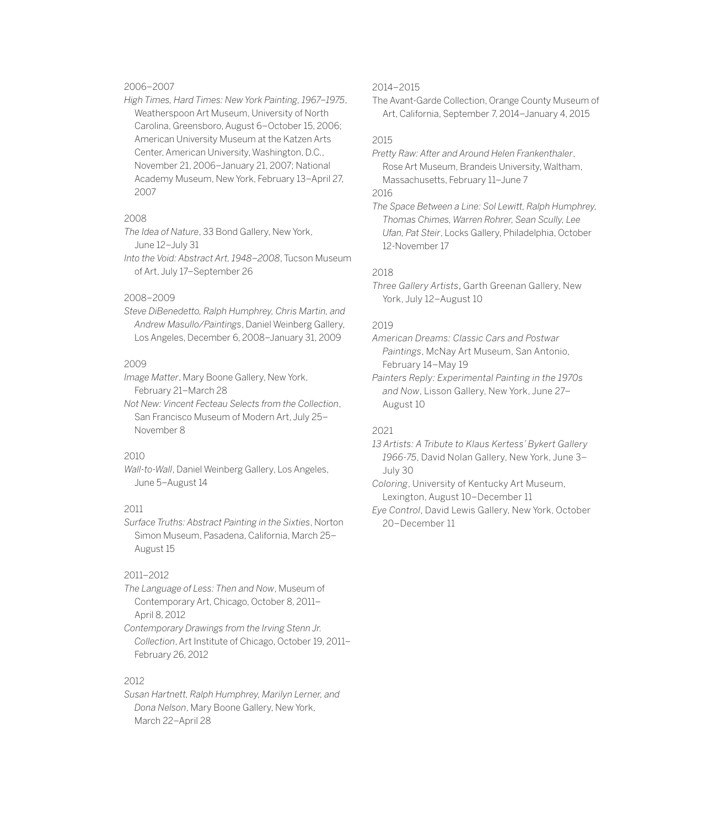# 2006–2007

*High Times, Hard Times: New York Painting, 1967–1975*, Weatherspoon Art Museum, University of North Carolina, Greensboro, August 6–October 15, 2006; American University Museum at the Katzen Arts Center, American University, Washington, D.C., November 21, 2006–January 21, 2007; National Academy Museum, New York, February 13–April 27, 2007

# 2008

*The Idea of Nature*, 33 Bond Gallery, New York, June 12–July 31

*Into the Void: Abstract Art, 1948–2008*, Tucson Museum of Art, July 17–September 26

### 2008–2009

*Steve DiBenedetto, Ralph Humphrey, Chris Martin, and Andrew Masullo/Paintings*, Daniel Weinberg Gallery, Los Angeles, December 6, 2008–January 31, 2009

# 2009

*Image Matter*, Mary Boone Gallery, New York, February 21–March 28

*Not New: Vincent Fecteau Selects from the Collection*, San Francisco Museum of Modern Art, July 25– November 8

# 2010

*Wall-to-Wall*, Daniel Weinberg Gallery, Los Angeles, June 5–August 14

#### 2011

*Surface Truths: Abstract Painting in the Sixties*, Norton Simon Museum, Pasadena, California, March 25– August 15

# 2011–2012

*The Language of Less: Then and Now*, Museum of Contemporary Art, Chicago, October 8, 2011– April 8, 2012

*Contemporary Drawings from the Irving Stenn Jr. Collection*, Art Institute of Chicago, October 19, 2011– February 26, 2012

#### 2012

*Susan Hartnett, Ralph Humphrey, Marilyn Lerner, and Dona Nelson*, Mary Boone Gallery, New York, March 22–April 28

### 2014–2015

The Avant-Garde Collection, Orange County Museum of Art, California, September 7, 2014–January 4, 2015

## 2015

*Pretty Raw: After and Around Helen Frankenthaler*, Rose Art Museum, Brandeis University, Waltham, Massachusetts, February 11–June 7 2016

*The Space Between a Line: Sol Lewitt, Ralph Humphrey, Thomas Chimes, Warren Rohrer, Sean Scully, Lee Ufan, Pat Steir*, Locks Gallery, Philadelphia, October 12-November 17

#### 2018

*Three Gallery Artists*, Garth Greenan Gallery, New York, July 12–August 10

#### 2019

*American Dreams: Classic Cars and Postwar Paintings*, McNay Art Museum, San Antonio, February 14–May 19

*Painters Reply: Experimental Painting in the 1970s and Now*, Lisson Gallery, New York, June 27– August 10

### 2021

*13 Artists: A Tribute to Klaus Kertess' Bykert Gallery 1966-75*, David Nolan Gallery, New York, June 3– July 30

*Coloring*, University of Kentucky Art Museum, Lexington, August 10–December 11

*Eye Control*, David Lewis Gallery, New York, October 20–December 11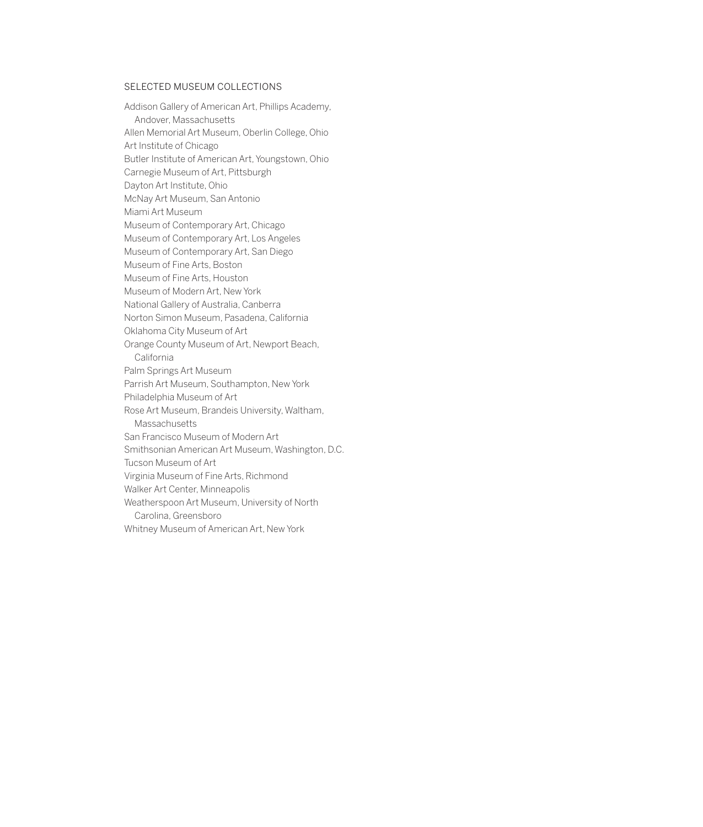### SELECTED MUSEUM COLLECTIONS

Addison Gallery of American Art, Phillips Academy, Andover, Massachusetts Allen Memorial Art Museum, Oberlin College, Ohio Art Institute of Chicago Butler Institute of American Art, Youngstown, Ohio Carnegie Museum of Art, Pittsburgh Dayton Art Institute, Ohio McNay Art Museum, San Antonio Miami Art Museum Museum of Contemporary Art, Chicago Museum of Contemporary Art, Los Angeles Museum of Contemporary Art, San Diego Museum of Fine Arts, Boston Museum of Fine Arts, Houston Museum of Modern Art, New York National Gallery of Australia, Canberra Norton Simon Museum, Pasadena, California Oklahoma City Museum of Art Orange County Museum of Art, Newport Beach, California Palm Springs Art Museum Parrish Art Museum, Southampton, New York Philadelphia Museum of Art Rose Art Museum, Brandeis University, Waltham, Massachusetts San Francisco Museum of Modern Art Smithsonian American Art Museum, Washington, D.C. Tucson Museum of Art Virginia Museum of Fine Arts, Richmond Walker Art Center, Minneapolis Weatherspoon Art Museum, University of North Carolina, Greensboro Whitney Museum of American Art, New York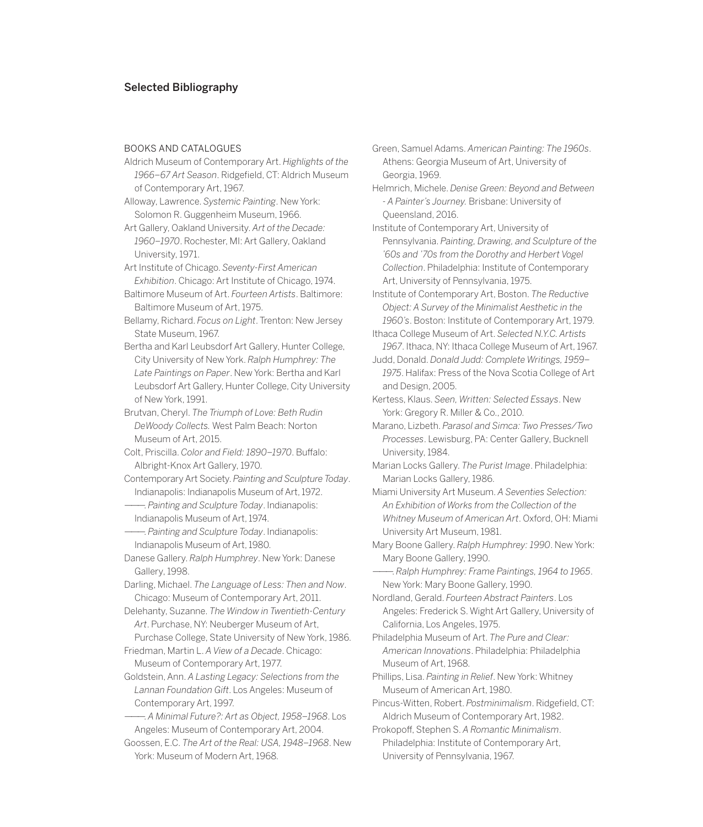# Selected Bibliography

#### BOOKS AND CATALOGUES

- Aldrich Museum of Contemporary Art. *Highlights of the 1966–67 Art Season*. Ridgefield, CT: Aldrich Museum of Contemporary Art, 1967.
- Alloway, Lawrence. *Systemic Painting*. New York: Solomon R. Guggenheim Museum, 1966.
- Art Gallery, Oakland University. *Art of the Decade: 1960–1970*. Rochester, MI: Art Gallery, Oakland University, 1971.
- Art Institute of Chicago. *Seventy-First American Exhibition*. Chicago: Art Institute of Chicago, 1974.
- Baltimore Museum of Art. *Fourteen Artists*. Baltimore: Baltimore Museum of Art, 1975.
- Bellamy, Richard. *Focus on Light*. Trenton: New Jersey State Museum, 1967.
- Bertha and Karl Leubsdorf Art Gallery, Hunter College, City University of New York. *Ralph Humphrey: The Late Paintings on Paper*. New York: Bertha and Karl Leubsdorf Art Gallery, Hunter College, City University of New York, 1991.
- Brutvan, Cheryl. *The Triumph of Love: Beth Rudin DeWoody Collects.* West Palm Beach: Norton Museum of Art, 2015.
- Colt, Priscilla. *Color and Field: 1890–1970*. Buffalo: Albright-Knox Art Gallery, 1970.
- Contemporary Art Society. *Painting and Sculpture Today*. Indianapolis: Indianapolis Museum of Art, 1972.
- ———. *Painting and Sculpture Today*. Indianapolis: Indianapolis Museum of Art, 1974.
- ———. *Painting and Sculpture Today*. Indianapolis: Indianapolis Museum of Art, 1980.
- Danese Gallery. *Ralph Humphrey*. New York: Danese Gallery, 1998.
- Darling, Michael. *The Language of Less: Then and Now*. Chicago: Museum of Contemporary Art, 2011.
- Delehanty, Suzanne. *The Window in Twentieth-Century Art*. Purchase, NY: Neuberger Museum of Art,
- Purchase College, State University of New York, 1986. Friedman, Martin L. *A View of a Decade*. Chicago: Museum of Contemporary Art, 1977.
- Goldstein, Ann. *A Lasting Legacy: Selections from the Lannan Foundation Gift*. Los Angeles: Museum of Contemporary Art, 1997.
- ———. *A Minimal Future?: Art as Object, 1958–1968*. Los Angeles: Museum of Contemporary Art, 2004.
- Goossen, E.C. *The Art of the Real: USA, 1948–1968*. New York: Museum of Modern Art, 1968.
- Green, Samuel Adams. *American Painting: The 1960s*. Athens: Georgia Museum of Art, University of Georgia, 1969.
- Helmrich, Michele. *Denise Green: Beyond and Between - A Painter's Journey.* Brisbane: University of Queensland, 2016.
- Institute of Contemporary Art, University of Pennsylvania. *Painting, Drawing, and Sculpture of the '60s and '70s from the Dorothy and Herbert Vogel Collection*. Philadelphia: Institute of Contemporary Art, University of Pennsylvania, 1975.
- Institute of Contemporary Art, Boston. *The Reductive Object: A Survey of the Minimalist Aesthetic in the 1960's*. Boston: Institute of Contemporary Art, 1979.
- Ithaca College Museum of Art. *Selected N.Y.C. Artists 1967*. Ithaca, NY: Ithaca College Museum of Art, 1967.
- Judd, Donald. *Donald Judd: Complete Writings, 1959– 1975*. Halifax: Press of the Nova Scotia College of Art and Design, 2005.
- Kertess, Klaus. *Seen, Written: Selected Essays*. New York: Gregory R. Miller & Co., 2010.
- Marano, Lizbeth. *Parasol and Simca: Two Presses/Two Processes*. Lewisburg, PA: Center Gallery, Bucknell University, 1984.
- Marian Locks Gallery. *The Purist Image*. Philadelphia: Marian Locks Gallery, 1986.
- Miami University Art Museum. *A Seventies Selection: An Exhibition of Works from the Collection of the Whitney Museum of American Art*. Oxford, OH: Miami University Art Museum, 1981.
- Mary Boone Gallery. *Ralph Humphrey: 1990*. New York: Mary Boone Gallery, 1990.
- ———. *Ralph Humphrey: Frame Paintings, 1964 to 1965*. New York: Mary Boone Gallery, 1990.
- Nordland, Gerald. *Fourteen Abstract Painters*. Los Angeles: Frederick S. Wight Art Gallery, University of California, Los Angeles, 1975.
- Philadelphia Museum of Art. *The Pure and Clear: American Innovations*. Philadelphia: Philadelphia Museum of Art, 1968.
- Phillips, Lisa. *Painting in Relief*. New York: Whitney Museum of American Art, 1980.
- Pincus-Witten, Robert. *Postminimalism*. Ridgefield, CT: Aldrich Museum of Contemporary Art, 1982.
- Prokopoff, Stephen S. *A Romantic Minimalism*. Philadelphia: Institute of Contemporary Art, University of Pennsylvania, 1967.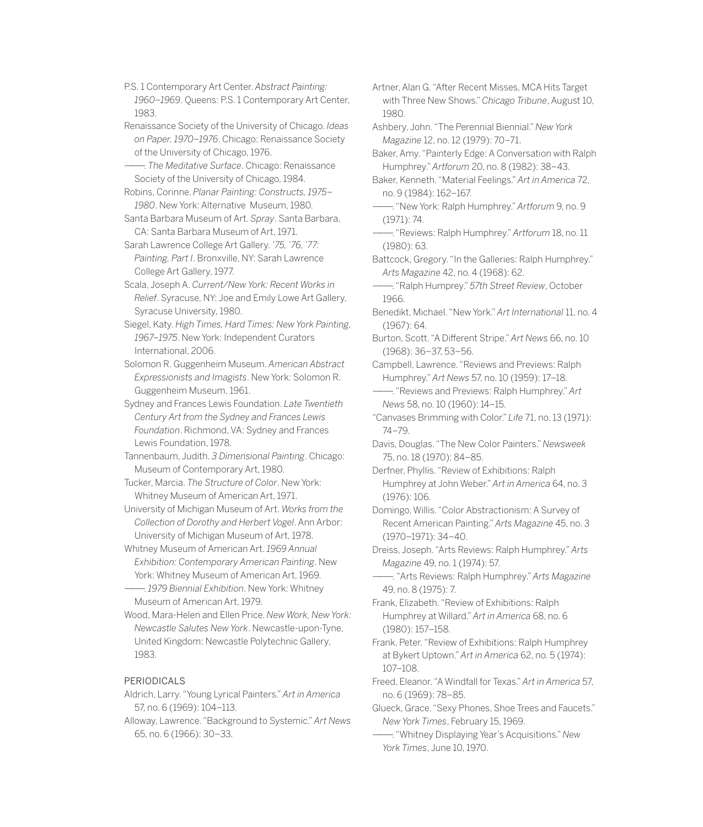P.S. 1 Contemporary Art Center. *Abstract Painting: 1960–1969*. Queens: P.S. 1 Contemporary Art Center, 1983.

Renaissance Society of the University of Chicago. *Ideas on Paper, 1970–1976*. Chicago: Renaissance Society of the University of Chicago, 1976.

———. *The Meditative Surface*. Chicago: Renaissance Society of the University of Chicago, 1984.

Robins, Corinne. *Planar Painting: Constructs, 1975– 1980*. New York: Alternative Museum, 1980.

Santa Barbara Museum of Art. *Spray*. Santa Barbara, CA: Santa Barbara Museum of Art, 1971.

Sarah Lawrence College Art Gallery. *'75, '76, '77: Painting, Part I*. Bronxville, NY: Sarah Lawrence College Art Gallery, 1977.

Scala, Joseph A. *Current/New York: Recent Works in Relief*. Syracuse, NY: Joe and Emily Lowe Art Gallery, Syracuse University, 1980.

Siegel, Katy. *High Times, Hard Times: New York Painting, 1967–1975*. New York: Independent Curators International, 2006.

Solomon R. Guggenheim Museum. *American Abstract Expressionists and Imagists*. New York: Solomon R. Guggenheim Museum, 1961.

Sydney and Frances Lewis Foundation. *Late Twentieth Century Art from the Sydney and Frances Lewis Foundation*. Richmond, VA: Sydney and Frances Lewis Foundation, 1978.

Tannenbaum, Judith. *3 Dimensional Painting*. Chicago: Museum of Contemporary Art, 1980.

Tucker, Marcia. *The Structure of Color*. New York: Whitney Museum of American Art, 1971.

University of Michigan Museum of Art. *Works from the Collection of Dorothy and Herbert Vogel*. Ann Arbor: University of Michigan Museum of Art, 1978.

Whitney Museum of American Art. *1969 Annual Exhibition: Contemporary American Painting*. New York: Whitney Museum of American Art, 1969.

———. *1979 Biennial Exhibition*. New York: Whitney Museum of American Art, 1979.

Wood, Mara-Helen and Ellen Price. *New Work, New York: Newcastle Salutes New York*. Newcastle-upon-Tyne, United Kingdom: Newcastle Polytechnic Gallery, 1983.

### PERIODICALS

Aldrich, Larry. "Young Lyrical Painters." *Art in America*  57, no. 6 (1969): 104–113.

Alloway, Lawrence. "Background to Systemic." *Art News* 65, no. 6 (1966): 30–33.

Artner, Alan G. "After Recent Misses, MCA Hits Target with Three New Shows." *Chicago Tribune*, August 10, 1980.

Ashbery, John. "The Perennial Biennial." *New York Magazine* 12, no. 12 (1979): 70–71.

Baker, Amy. "Painterly Edge: A Conversation with Ralph Humphrey." *Artforum* 20, no. 8 (1982): 38–43.

Baker, Kenneth. "Material Feelings." *Art in America* 72, no. 9 (1984): 162–167.

———. "New York: Ralph Humphrey." *Artforum* 9, no. 9 (1971): 74.

———. "Reviews: Ralph Humphrey." *Artforum* 18, no. 11 (1980): 63.

Battcock, Gregory. "In the Galleries: Ralph Humphrey." *Arts Magazine* 42, no. 4 (1968): 62.

———. "Ralph Humprey." *57th Street Review*, October 1966.

Benedikt, Michael. "New York." *Art International* 11, no. 4 (1967): 64.

Burton, Scott. "A Different Stripe." *Art News* 66, no. 10 (1968): 36–37, 53–56.

Campbell, Lawrence. "Reviews and Previews: Ralph Humphrey." *Art News* 57, no. 10 (1959): 17–18.

———. "Reviews and Previews: Ralph Humphrey." *Art News* 58, no. 10 (1960): 14–15.

"Canvases Brimming with Color." *Life* 71, no. 13 (1971): 74–79.

Davis, Douglas. "The New Color Painters." *Newsweek* 75, no. 18 (1970): 84–85.

Derfner, Phyllis. "Review of Exhibitions: Ralph Humphrey at John Weber." *Art in America* 64, no. 3 (1976): 106.

Domingo, Willis. "Color Abstractionism: A Survey of Recent American Painting." *Arts Magazine* 45, no. 3 (1970–1971): 34–40.

Dreiss, Joseph. "Arts Reviews: Ralph Humphrey." *Arts Magazine* 49, no. 1 (1974): 57.

———. *"*Arts Reviews: Ralph Humphrey." *Arts Magazine* 49, no. 8 (1975): 7.

Frank, Elizabeth. "Review of Exhibitions: Ralph Humphrey at Willard." *Art in America* 68, no. 6 (1980): 157–158.

Frank, Peter. "Review of Exhibitions: Ralph Humphrey at Bykert Uptown." *Art in America* 62, no. 5 (1974): 107–108.

Freed, Eleanor. "A Windfall for Texas." *Art in America* 57, no. 6 (1969): 78–85.

Glueck, Grace. "Sexy Phones, Shoe Trees and Faucets." *New York Times*, February 15, 1969.

———. "Whitney Displaying Year's Acquisitions." *New York Times*, June 10, 1970.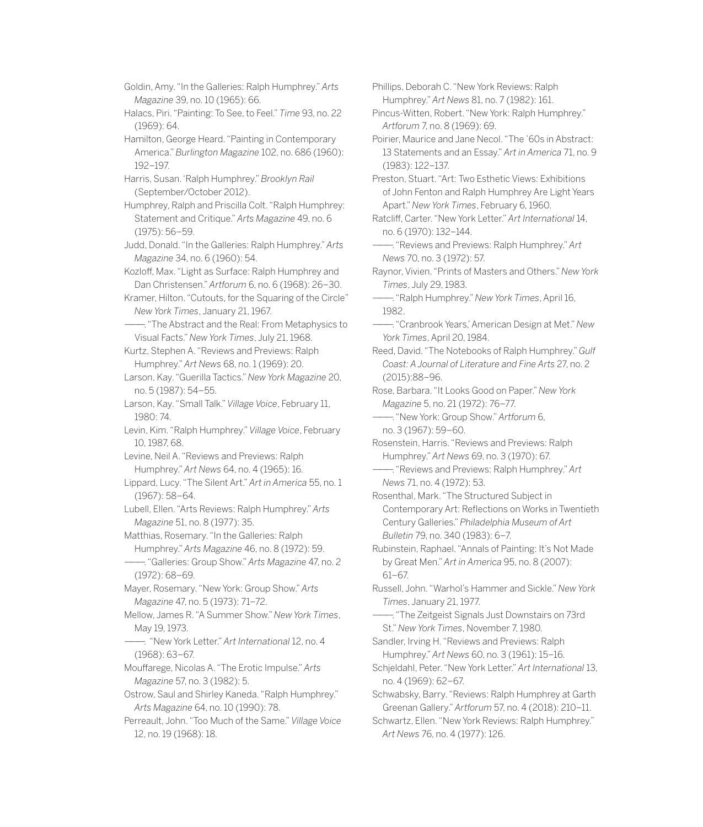Goldin, Amy. "In the Galleries: Ralph Humphrey." *Arts Magazine* 39, no. 10 (1965): 66.

Halacs, Piri. "Painting: To See, to Feel." *Time* 93, no. 22 (1969): 64.

- Hamilton, George Heard. "Painting in Contemporary America." *Burlington Magazine* 102, no. 686 (1960): 192–197.
- Harris, Susan. 'Ralph Humphrey." *Brooklyn Rail* (September/October 2012).

Humphrey, Ralph and Priscilla Colt. "Ralph Humphrey: Statement and Critique." *Arts Magazine* 49, no. 6 (1975): 56–59.

Judd, Donald. "In the Galleries: Ralph Humphrey." *Arts Magazine* 34, no. 6 (1960): 54.

Kozloff, Max. "Light as Surface: Ralph Humphrey and Dan Christensen." *Artforum* 6, no. 6 (1968): 26–30.

Kramer, Hilton. "Cutouts, for the Squaring of the Circle" *New York Times*, January 21, 1967.

———. "The Abstract and the Real: From Metaphysics to Visual Facts." *New York Times*, July 21, 1968.

Kurtz, Stephen A. "Reviews and Previews: Ralph Humphrey." *Art News* 68, no. 1 (1969): 20.

Larson, Kay. "Guerilla Tactics." *New York Magazine* 20, no. 5 (1987): 54–55.

Larson, Kay. "Small Talk." *Village Voice*, February 11, 1980: 74.

Levin, Kim. "Ralph Humphrey." *Village Voice*, February 10, 1987, 68.

Levine, Neil A. "Reviews and Previews: Ralph Humphrey." *Art News* 64, no. 4 (1965): 16.

Lippard, Lucy. "The Silent Art." *Art in America* 55, no. 1 (1967): 58–64.

Lubell, Ellen. "Arts Reviews: Ralph Humphrey." *Arts Magazine* 51, no. 8 (1977): 35.

Matthias, Rosemary. "In the Galleries: Ralph Humphrey." *Arts Magazine* 46, no. 8 (1972): 59.

———. "Galleries: Group Show." *Arts Magazine* 47, no. 2 (1972): 68–69.

Mayer, Rosemary. "New York: Group Show." *Arts Magazine* 47, no. 5 (1973): 71–72.

Mellow, James R. "A Summer Show." *New York Times*, May 19, 1973.

———. "New York Letter." *Art International* 12, no. 4 (1968): 63–67.

Mouffarege, Nicolas A. "The Erotic Impulse." *Arts Magazine* 57, no. 3 (1982): 5.

Ostrow, Saul and Shirley Kaneda. "Ralph Humphrey." *Arts Magazine* 64, no. 10 (1990): 78.

Perreault, John. "Too Much of the Same." *Village Voice*  12, no. 19 (1968): 18.

Phillips, Deborah C. "New York Reviews: Ralph Humphrey." *Art News* 81, no. 7 (1982): 161.

Pincus-Witten, Robert. "New York: Ralph Humphrey." *Artforum* 7, no. 8 (1969): 69.

Poirier, Maurice and Jane Necol. "The '60s in Abstract: 13 Statements and an Essay." *Art in America* 71, no. 9 (1983): 122–137.

Preston, Stuart. "Art: Two Esthetic Views: Exhibitions of John Fenton and Ralph Humphrey Are Light Years Apart." *New York Times*, February 6, 1960.

Ratcliff, Carter. "New York Letter." *Art International* 14, no. 6 (1970): 132–144.

———. "Reviews and Previews: Ralph Humphrey." *Art News* 70, no. 3 (1972): 57.

Raynor, Vivien. "Prints of Masters and Others." *New York Times*, July 29, 1983.

———. "Ralph Humphrey." *New York Times*, April 16, 1982.

———. "Cranbrook Years,' American Design at Met." *New York Times*, April 20, 1984.

Reed, David. "The Notebooks of Ralph Humphrey." *Gulf Coast: A Journal of Literature and Fine Arts* 27, no. 2 (2015):88–96.

Rose, Barbara. "It Looks Good on Paper." *New York Magazine* 5, no. 21 (1972): 76–77.

———. "New York: Group Show." *Artforum* 6, no. 3 (1967): 59–60.

Rosenstein, Harris. "Reviews and Previews: Ralph Humphrey." *Art News* 69, no. 3 (1970): 67.

———. "Reviews and Previews: Ralph Humphrey." *Art News* 71, no. 4 (1972): 53.

Rosenthal, Mark. "The Structured Subject in Contemporary Art: Reflections on Works in Twentieth Century Galleries." *Philadelphia Museum of Art Bulletin* 79, no. 340 (1983): 6–7.

Rubinstein, Raphael. "Annals of Painting: It's Not Made by Great Men." *Art in America* 95, no. 8 (2007): 61–67.

Russell, John. "Warhol's Hammer and Sickle." *New York Times*, January 21, 1977.

-. "The Zeitgeist Signals Just Downstairs on 73rd St." *New York Times*, November 7, 1980.

Sandler, Irving H. "Reviews and Previews: Ralph Humphrey." *Art News* 60, no. 3 (1961): 15–16.

Schjeldahl, Peter. "New York Letter." *Art International* 13, no. 4 (1969): 62–67.

Schwabsky, Barry. "Reviews: Ralph Humphrey at Garth Greenan Gallery." *Artforum* 57, no. 4 (2018): 210–11.

Schwartz, Ellen. "New York Reviews: Ralph Humphrey." *Art News* 76, no. 4 (1977): 126.